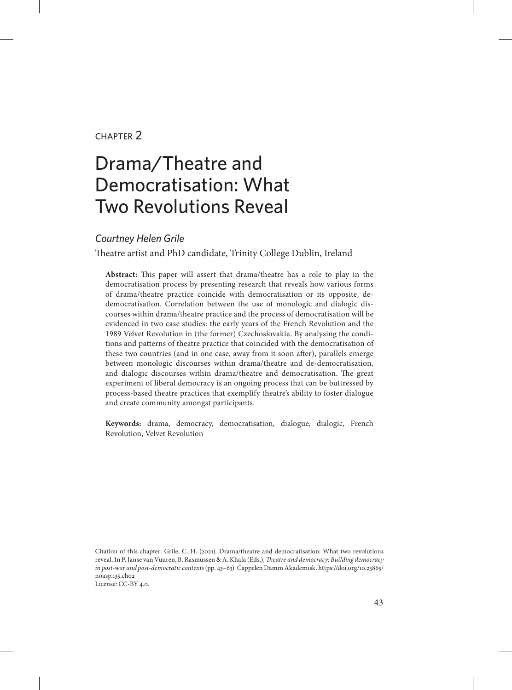#### chapter 2

# Drama/Theatre and Democratisation: What Two Revolutions Reveal

#### *Courtney Helen Grile*

Theatre artist and PhD candidate, Trinity College Dublin, Ireland

**Abstract:** This paper will assert that drama/theatre has a role to play in the democratisation process by presenting research that reveals how various forms of drama/theatre practice coincide with democratisation or its opposite, dedemocratisation. Correlation between the use of monologic and dialogic discourses within drama/theatre practice and the process of democratisation will be evidenced in two case studies: the early years of the French Revolution and the 1989 Velvet Revolution in (the former) Czechoslovakia. By analysing the conditions and patterns of theatre practice that coincided with the democratisation of these two countries (and in one case, away from it soon after), parallels emerge between monologic discourses within drama/theatre and de-democratisation, and dialogic discourses within drama/theatre and democratisation. The great experiment of liberal democracy is an ongoing process that can be buttressed by process-based theatre practices that exemplify theatre's ability to foster dialogue and create community amongst participants.

**Keywords:** drama, democracy, democratisation, dialogue, dialogic, French Revolution, Velvet Revolution

Citation of this chapter: Grile, C. H. (2021). Drama/theatre and democratisation: What two revolutions reveal. In P. Janse van Vuuren, B. Rasmussen & A. Khala (Eds.), *Theatre and democracy: Building democracy in post-war and post-democratic contexts* (pp. 43–63). Cappelen Damm Akademisk. [https://doi.org/10.23865/](https://doi.org/10.23865/noasp.135.ch02) [noasp.135.ch02](https://doi.org/10.23865/noasp.135.ch02) License: CC-BY 4.0.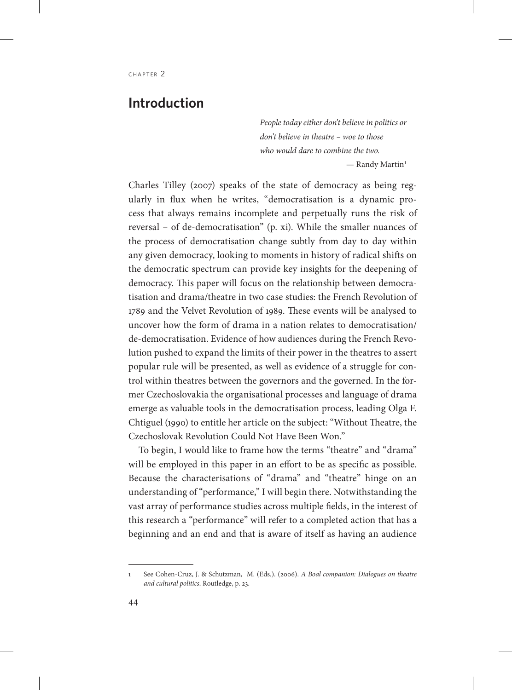#### **Introduction**

*People today either don't believe in politics or don't believe in theatre – woe to those who would dare to combine the two.*  $-$  Randy Martin<sup>1</sup>

Charles Tilley (2007) speaks of the state of democracy as being regularly in flux when he writes, "democratisation is a dynamic process that always remains incomplete and perpetually runs the risk of reversal – of de-democratisation" (p. xi). While the smaller nuances of the process of democratisation change subtly from day to day within any given democracy, looking to moments in history of radical shifts on the democratic spectrum can provide key insights for the deepening of democracy. This paper will focus on the relationship between democratisation and drama/theatre in two case studies: the French Revolution of 1789 and the Velvet Revolution of 1989. These events will be analysed to uncover how the form of drama in a nation relates to democratisation/ de-democratisation. Evidence of how audiences during the French Revolution pushed to expand the limits of their power in the theatres to assert popular rule will be presented, as well as evidence of a struggle for control within theatres between the governors and the governed. In the former Czechoslovakia the organisational processes and language of drama emerge as valuable tools in the democratisation process, leading Olga F. Chtiguel (1990) to entitle her article on the subject: "Without Theatre, the Czechoslovak Revolution Could Not Have Been Won."

To begin, I would like to frame how the terms "theatre" and "drama" will be employed in this paper in an effort to be as specific as possible. Because the characterisations of "drama" and "theatre" hinge on an understanding of "performance," I will begin there. Notwithstanding the vast array of performance studies across multiple fields, in the interest of this research a "performance" will refer to a completed action that has a beginning and an end and that is aware of itself as having an audience

<sup>1</sup> See Cohen-Cruz, J. & Schutzman, M. (Eds.). (2006). *A Boal companion: Dialogues on theatre and cultural politics*. Routledge, p. 23.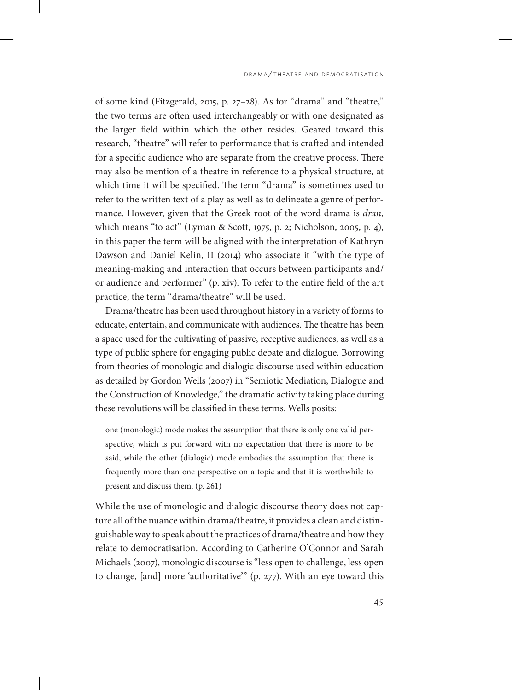of some kind (Fitzgerald, 2015, p. 27–28). As for "drama" and "theatre," the two terms are often used interchangeably or with one designated as the larger field within which the other resides. Geared toward this research, "theatre" will refer to performance that is crafted and intended for a specific audience who are separate from the creative process. There may also be mention of a theatre in reference to a physical structure, at which time it will be specified. The term "drama" is sometimes used to refer to the written text of a play as well as to delineate a genre of performance. However, given that the Greek root of the word drama is *dran*, which means "to act" (Lyman & Scott, 1975, p. 2; Nicholson, 2005, p. 4), in this paper the term will be aligned with the interpretation of Kathryn Dawson and Daniel Kelin, II (2014) who associate it "with the type of meaning-making and interaction that occurs between participants and/ or audience and performer" (p. xiv). To refer to the entire field of the art practice, the term "drama/theatre" will be used.

Drama/theatre has been used throughout history in a variety of forms to educate, entertain, and communicate with audiences. The theatre has been a space used for the cultivating of passive, receptive audiences, as well as a type of public sphere for engaging public debate and dialogue. Borrowing from theories of monologic and dialogic discourse used within education as detailed by Gordon Wells (2007) in "Semiotic Mediation, Dialogue and the Construction of Knowledge," the dramatic activity taking place during these revolutions will be classified in these terms. Wells posits:

one (monologic) mode makes the assumption that there is only one valid perspective, which is put forward with no expectation that there is more to be said, while the other (dialogic) mode embodies the assumption that there is frequently more than one perspective on a topic and that it is worthwhile to present and discuss them. (p. 261)

While the use of monologic and dialogic discourse theory does not capture all of the nuance within drama/theatre, it provides a clean and distinguishable way to speak about the practices of drama/theatre and how they relate to democratisation. According to Catherine O'Connor and Sarah Michaels (2007), monologic discourse is "less open to challenge, less open to change, [and] more 'authoritative'" (p. 277). With an eye toward this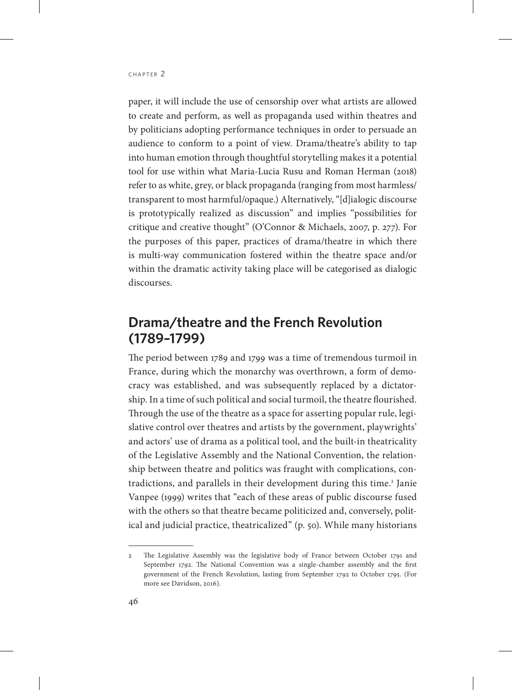paper, it will include the use of censorship over what artists are allowed to create and perform, as well as propaganda used within theatres and by politicians adopting performance techniques in order to persuade an audience to conform to a point of view. Drama/theatre's ability to tap into human emotion through thoughtful storytelling makes it a potential tool for use within what Maria-Lucia Rusu and Roman Herman (2018) refer to as white, grey, or black propaganda (ranging from most harmless/ transparent to most harmful/opaque.) Alternatively, "[d]ialogic discourse is prototypically realized as discussion" and implies "possibilities for critique and creative thought" (O'Connor & Michaels, 2007, p. 277). For the purposes of this paper, practices of drama/theatre in which there is multi-way communication fostered within the theatre space and/or within the dramatic activity taking place will be categorised as dialogic discourses.

# **Drama/theatre and the French Revolution (1789–1799)**

The period between 1789 and 1799 was a time of tremendous turmoil in France, during which the monarchy was overthrown, a form of democracy was established, and was subsequently replaced by a dictatorship. In a time of such political and social turmoil, the theatre flourished. Through the use of the theatre as a space for asserting popular rule, legislative control over theatres and artists by the government, playwrights' and actors' use of drama as a political tool, and the built-in theatricality of the Legislative Assembly and the National Convention, the relationship between theatre and politics was fraught with complications, contradictions, and parallels in their development during this time.<sup>2</sup> Janie Vanpee (1999) writes that "each of these areas of public discourse fused with the others so that theatre became politicized and, conversely, political and judicial practice, theatricalized" (p. 50). While many historians

<sup>2</sup> The Legislative Assembly was the legislative body of France between October 1791 and September 1792. The National Convention was a single-chamber assembly and the first government of the French Revolution, lasting from September 1792 to October 1795. (For more see Davidson, 2016).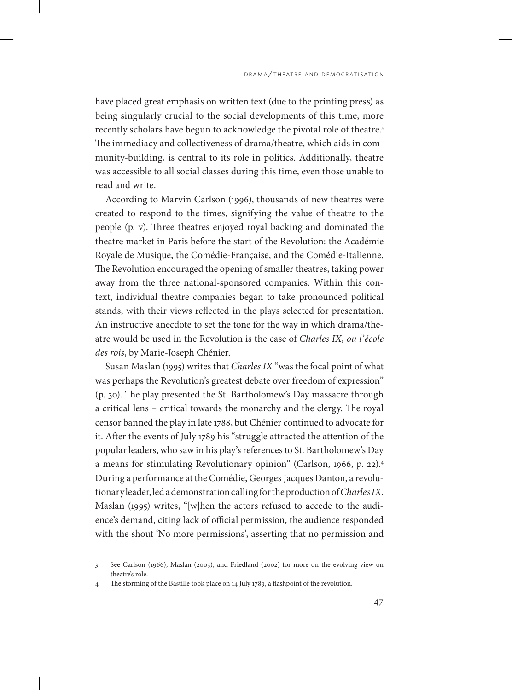have placed great emphasis on written text (due to the printing press) as being singularly crucial to the social developments of this time, more recently scholars have begun to acknowledge the pivotal role of theatre.<sup>3</sup> The immediacy and collectiveness of drama/theatre, which aids in community-building, is central to its role in politics. Additionally, theatre was accessible to all social classes during this time, even those unable to read and write.

According to Marvin Carlson (1996), thousands of new theatres were created to respond to the times, signifying the value of theatre to the people (p. v). Three theatres enjoyed royal backing and dominated the theatre market in Paris before the start of the Revolution: the Académie Royale de Musique, the Comédie-Française, and the Comédie-Italienne. The Revolution encouraged the opening of smaller theatres, taking power away from the three national-sponsored companies. Within this context, individual theatre companies began to take pronounced political stands, with their views reflected in the plays selected for presentation. An instructive anecdote to set the tone for the way in which drama/theatre would be used in the Revolution is the case of *Charles IX, ou l'école des rois*, by Marie-Joseph Chénier.

Susan Maslan (1995) writes that *Charles IX* "was the focal point of what was perhaps the Revolution's greatest debate over freedom of expression" (p. 30). The play presented the St. Bartholomew's Day massacre through a critical lens – critical towards the monarchy and the clergy. The royal censor banned the play in late 1788, but Chénier continued to advocate for it. After the events of July 1789 his "struggle attracted the attention of the popular leaders, who saw in his play's references to St. Bartholomew's Day a means for stimulating Revolutionary opinion" (Carlson, 1966, p. 22).4 During a performance at the Comédie, Georges Jacques Danton, a revolutionary leader, led a demonstration calling for the production of *Charles IX*. Maslan (1995) writes, "[w]hen the actors refused to accede to the audience's demand, citing lack of official permission, the audience responded with the shout 'No more permissions', asserting that no permission and

<sup>3</sup> See Carlson (1966), Maslan (2005), and Friedland (2002) for more on the evolving view on theatre's role.

<sup>4</sup> The storming of the Bastille took place on 14 July 1789, a flashpoint of the revolution.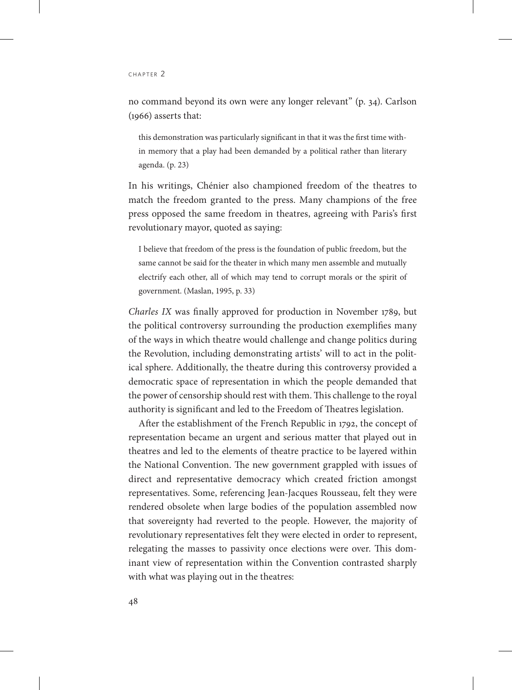no command beyond its own were any longer relevant" (p. 34). Carlson (1966) asserts that:

this demonstration was particularly significant in that it was the first time within memory that a play had been demanded by a political rather than literary agenda. (p. 23)

In his writings, Chénier also championed freedom of the theatres to match the freedom granted to the press. Many champions of the free press opposed the same freedom in theatres, agreeing with Paris's first revolutionary mayor, quoted as saying:

I believe that freedom of the press is the foundation of public freedom, but the same cannot be said for the theater in which many men assemble and mutually electrify each other, all of which may tend to corrupt morals or the spirit of government. (Maslan, 1995, p. 33)

*Charles IX* was finally approved for production in November 1789, but the political controversy surrounding the production exemplifies many of the ways in which theatre would challenge and change politics during the Revolution, including demonstrating artists' will to act in the political sphere. Additionally, the theatre during this controversy provided a democratic space of representation in which the people demanded that the power of censorship should rest with them. This challenge to the royal authority is significant and led to the Freedom of Theatres legislation.

After the establishment of the French Republic in 1792, the concept of representation became an urgent and serious matter that played out in theatres and led to the elements of theatre practice to be layered within the National Convention. The new government grappled with issues of direct and representative democracy which created friction amongst representatives. Some, referencing Jean-Jacques Rousseau, felt they were rendered obsolete when large bodies of the population assembled now that sovereignty had reverted to the people. However, the majority of revolutionary representatives felt they were elected in order to represent, relegating the masses to passivity once elections were over. This dominant view of representation within the Convention contrasted sharply with what was playing out in the theatres: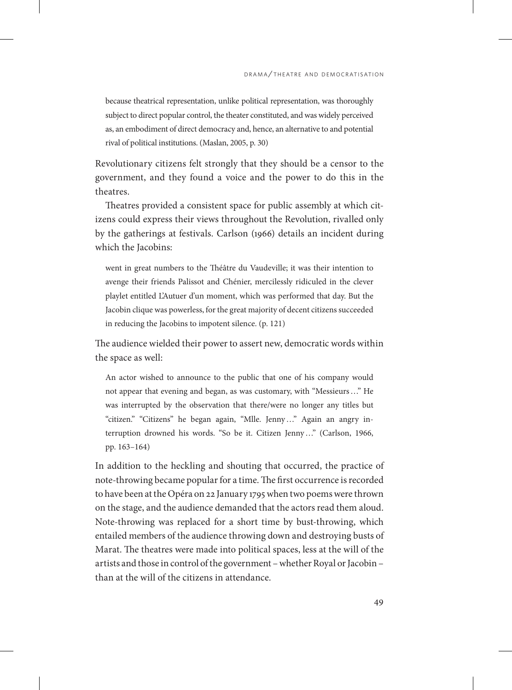because theatrical representation, unlike political representation, was thoroughly subject to direct popular control, the theater constituted, and was widely perceived as, an embodiment of direct democracy and, hence, an alternative to and potential rival of political institutions. (Maslan, 2005, p. 30)

Revolutionary citizens felt strongly that they should be a censor to the government, and they found a voice and the power to do this in the theatres.

Theatres provided a consistent space for public assembly at which citizens could express their views throughout the Revolution, rivalled only by the gatherings at festivals. Carlson (1966) details an incident during which the Jacobins:

went in great numbers to the Théâtre du Vaudeville; it was their intention to avenge their friends Palissot and Chénier, mercilessly ridiculed in the clever playlet entitled L'Autuer d'un moment, which was performed that day. But the Jacobin clique was powerless, for the great majority of decent citizens succeeded in reducing the Jacobins to impotent silence. (p. 121)

The audience wielded their power to assert new, democratic words within the space as well:

An actor wished to announce to the public that one of his company would not appear that evening and began, as was customary, with "Messieurs…" He was interrupted by the observation that there/were no longer any titles but "citizen." "Citizens" he began again, "Mlle. Jenny…" Again an angry interruption drowned his words. "So be it. Citizen Jenny…" (Carlson, 1966, pp. 163–164)

In addition to the heckling and shouting that occurred, the practice of note-throwing became popular for a time. The first occurrence is recorded to have been at the Opéra on 22 January 1795 when two poems were thrown on the stage, and the audience demanded that the actors read them aloud. Note-throwing was replaced for a short time by bust-throwing, which entailed members of the audience throwing down and destroying busts of Marat. The theatres were made into political spaces, less at the will of the artists and those in control of the government – whether Royal or Jacobin – than at the will of the citizens in attendance.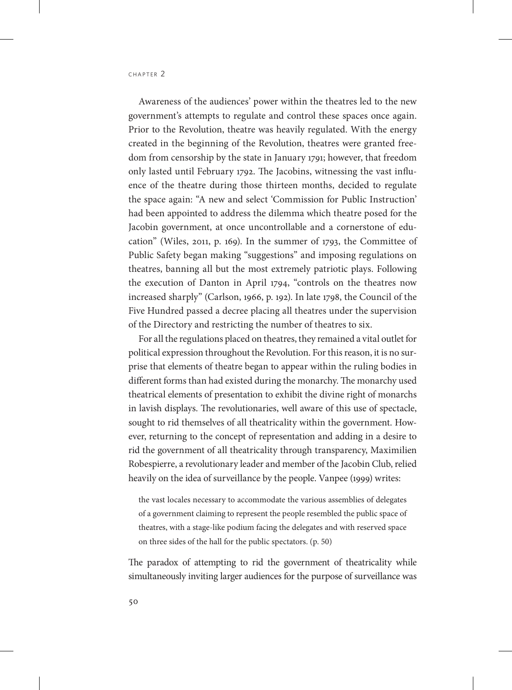Awareness of the audiences' power within the theatres led to the new government's attempts to regulate and control these spaces once again. Prior to the Revolution, theatre was heavily regulated. With the energy created in the beginning of the Revolution, theatres were granted freedom from censorship by the state in January 1791; however, that freedom only lasted until February 1792. The Jacobins, witnessing the vast influence of the theatre during those thirteen months, decided to regulate the space again: "A new and select 'Commission for Public Instruction' had been appointed to address the dilemma which theatre posed for the Jacobin government, at once uncontrollable and a cornerstone of education" (Wiles, 2011, p. 169). In the summer of 1793, the Committee of Public Safety began making "suggestions" and imposing regulations on theatres, banning all but the most extremely patriotic plays. Following the execution of Danton in April 1794, "controls on the theatres now increased sharply" (Carlson, 1966, p. 192). In late 1798, the Council of the Five Hundred passed a decree placing all theatres under the supervision of the Directory and restricting the number of theatres to six.

For all the regulations placed on theatres, they remained a vital outlet for political expression throughout the Revolution. For this reason, it is no surprise that elements of theatre began to appear within the ruling bodies in different forms than had existed during the monarchy. The monarchy used theatrical elements of presentation to exhibit the divine right of monarchs in lavish displays. The revolutionaries, well aware of this use of spectacle, sought to rid themselves of all theatricality within the government. However, returning to the concept of representation and adding in a desire to rid the government of all theatricality through transparency, Maximilien Robespierre, a revolutionary leader and member of the Jacobin Club, relied heavily on the idea of surveillance by the people. Vanpee (1999) writes:

the vast locales necessary to accommodate the various assemblies of delegates of a government claiming to represent the people resembled the public space of theatres, with a stage-like podium facing the delegates and with reserved space on three sides of the hall for the public spectators. (p. 50)

The paradox of attempting to rid the government of theatricality while simultaneously inviting larger audiences for the purpose of surveillance was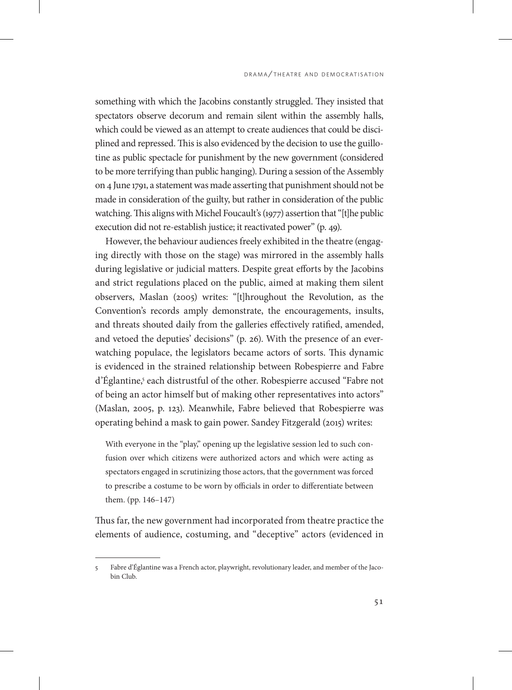something with which the Jacobins constantly struggled. They insisted that spectators observe decorum and remain silent within the assembly halls, which could be viewed as an attempt to create audiences that could be disciplined and repressed. This is also evidenced by the decision to use the guillotine as public spectacle for punishment by the new government (considered to be more terrifying than public hanging). During a session of the Assembly on 4 June 1791, a statement was made asserting that punishment should not be made in consideration of the guilty, but rather in consideration of the public watching. This aligns with Michel Foucault's (1977) assertion that "[t]he public execution did not re-establish justice; it reactivated power" (p. 49).

However, the behaviour audiences freely exhibited in the theatre (engaging directly with those on the stage) was mirrored in the assembly halls during legislative or judicial matters. Despite great efforts by the Jacobins and strict regulations placed on the public, aimed at making them silent observers, Maslan (2005) writes: "[t]hroughout the Revolution, as the Convention's records amply demonstrate, the encouragements, insults, and threats shouted daily from the galleries effectively ratified, amended, and vetoed the deputies' decisions" (p. 26). With the presence of an everwatching populace, the legislators became actors of sorts. This dynamic is evidenced in the strained relationship between Robespierre and Fabre d'Églantine,5 each distrustful of the other. Robespierre accused "Fabre not of being an actor himself but of making other representatives into actors" (Maslan, 2005, p. 123). Meanwhile, Fabre believed that Robespierre was operating behind a mask to gain power. Sandey Fitzgerald (2015) writes:

With everyone in the "play," opening up the legislative session led to such confusion over which citizens were authorized actors and which were acting as spectators engaged in scrutinizing those actors, that the government was forced to prescribe a costume to be worn by officials in order to differentiate between them. (pp. 146–147)

Thus far, the new government had incorporated from theatre practice the elements of audience, costuming, and "deceptive" actors (evidenced in

<sup>5</sup> Fabre d'Églantine was a French actor, playwright, revolutionary leader, and member of the Jacobin Club.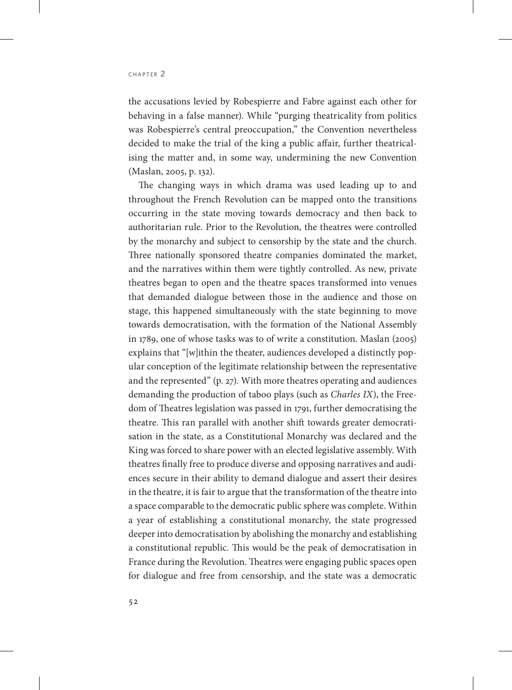the accusations levied by Robespierre and Fabre against each other for behaving in a false manner). While "purging theatricality from politics was Robespierre's central preoccupation," the Convention nevertheless decided to make the trial of the king a public affair, further theatricalising the matter and, in some way, undermining the new Convention (Maslan, 2005, p. 132).

The changing ways in which drama was used leading up to and throughout the French Revolution can be mapped onto the transitions occurring in the state moving towards democracy and then back to authoritarian rule. Prior to the Revolution, the theatres were controlled by the monarchy and subject to censorship by the state and the church. Three nationally sponsored theatre companies dominated the market, and the narratives within them were tightly controlled. As new, private theatres began to open and the theatre spaces transformed into venues that demanded dialogue between those in the audience and those on stage, this happened simultaneously with the state beginning to move towards democratisation, with the formation of the National Assembly in 1789, one of whose tasks was to of write a constitution. Maslan (2005) explains that "[w]ithin the theater, audiences developed a distinctly popular conception of the legitimate relationship between the representative and the represented" (p. 27). With more theatres operating and audiences demanding the production of taboo plays (such as *Charles IX*), the Freedom of Theatres legislation was passed in 1791, further democratising the theatre. This ran parallel with another shift towards greater democratisation in the state, as a Constitutional Monarchy was declared and the King was forced to share power with an elected legislative assembly. With theatres finally free to produce diverse and opposing narratives and audiences secure in their ability to demand dialogue and assert their desires in the theatre, it is fair to argue that the transformation of the theatre into a space comparable to the democratic public sphere was complete. Within a year of establishing a constitutional monarchy, the state progressed deeper into democratisation by abolishing the monarchy and establishing a constitutional republic. This would be the peak of democratisation in France during the Revolution. Theatres were engaging public spaces open for dialogue and free from censorship, and the state was a democratic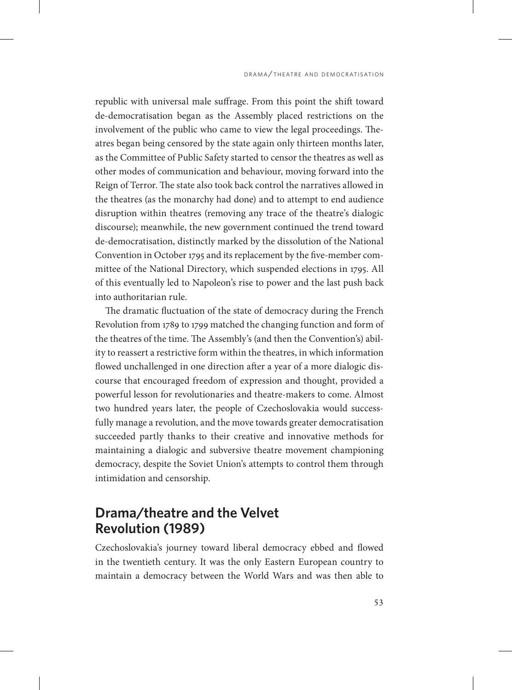republic with universal male suffrage. From this point the shift toward de-democratisation began as the Assembly placed restrictions on the involvement of the public who came to view the legal proceedings. Theatres began being censored by the state again only thirteen months later, as the Committee of Public Safety started to censor the theatres as well as other modes of communication and behaviour, moving forward into the Reign of Terror. The state also took back control the narratives allowed in the theatres (as the monarchy had done) and to attempt to end audience disruption within theatres (removing any trace of the theatre's dialogic discourse); meanwhile, the new government continued the trend toward de-democratisation, distinctly marked by the dissolution of the National Convention in October 1795 and its replacement by the five-member committee of the National Directory, which suspended elections in 1795. All of this eventually led to Napoleon's rise to power and the last push back into authoritarian rule.

The dramatic fluctuation of the state of democracy during the French Revolution from 1789 to 1799 matched the changing function and form of the theatres of the time. The Assembly's (and then the Convention's) ability to reassert a restrictive form within the theatres, in which information flowed unchallenged in one direction after a year of a more dialogic discourse that encouraged freedom of expression and thought, provided a powerful lesson for revolutionaries and theatre-makers to come. Almost two hundred years later, the people of Czechoslovakia would successfully manage a revolution, and the move towards greater democratisation succeeded partly thanks to their creative and innovative methods for maintaining a dialogic and subversive theatre movement championing democracy, despite the Soviet Union's attempts to control them through intimidation and censorship.

# **Drama/theatre and the Velvet Revolution (1989)**

Czechoslovakia's journey toward liberal democracy ebbed and flowed in the twentieth century. It was the only Eastern European country to maintain a democracy between the World Wars and was then able to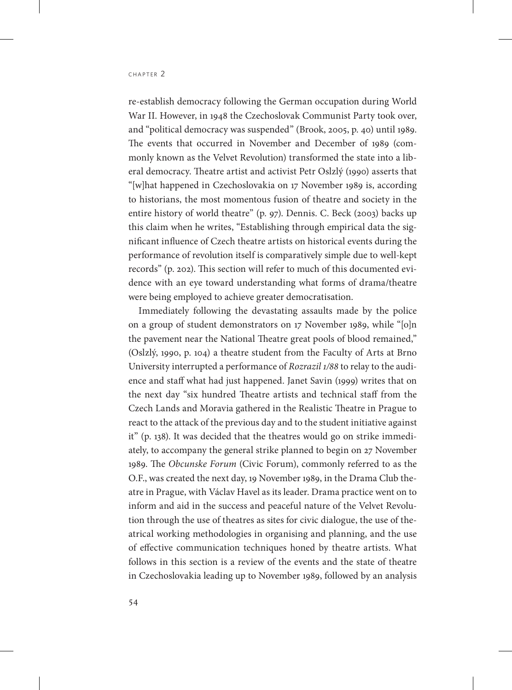re-establish democracy following the German occupation during World War II. However, in 1948 the Czechoslovak Communist Party took over, and "political democracy was suspended" (Brook, 2005, p. 40) until 1989. The events that occurred in November and December of 1989 (commonly known as the Velvet Revolution) transformed the state into a liberal democracy. Theatre artist and activist Petr Oslzlý (1990) asserts that "[w]hat happened in Czechoslovakia on 17 November 1989 is, according to historians, the most momentous fusion of theatre and society in the entire history of world theatre" (p. 97). Dennis. C. Beck (2003) backs up this claim when he writes, "Establishing through empirical data the significant influence of Czech theatre artists on historical events during the performance of revolution itself is comparatively simple due to well-kept records" (p. 202). This section will refer to much of this documented evidence with an eye toward understanding what forms of drama/theatre were being employed to achieve greater democratisation.

Immediately following the devastating assaults made by the police on a group of student demonstrators on 17 November 1989, while "[o]n the pavement near the National Theatre great pools of blood remained," (Oslzlý, 1990, p. 104) a theatre student from the Faculty of Arts at Brno University interrupted a performance of *Rozrazil 1/88* to relay to the audience and staff what had just happened. Janet Savin (1999) writes that on the next day "six hundred Theatre artists and technical staff from the Czech Lands and Moravia gathered in the Realistic Theatre in Prague to react to the attack of the previous day and to the student initiative against it" (p. 138). It was decided that the theatres would go on strike immediately, to accompany the general strike planned to begin on 27 November 1989. The *Obcunske Forum* (Civic Forum), commonly referred to as the O.F., was created the next day, 19 November 1989, in the Drama Club theatre in Prague, with Václav Havel as its leader. Drama practice went on to inform and aid in the success and peaceful nature of the Velvet Revolution through the use of theatres as sites for civic dialogue, the use of theatrical working methodologies in organising and planning, and the use of effective communication techniques honed by theatre artists. What follows in this section is a review of the events and the state of theatre in Czechoslovakia leading up to November 1989, followed by an analysis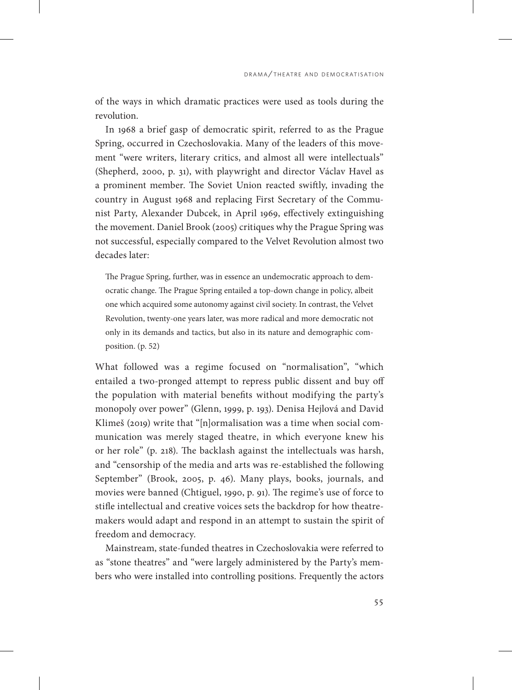of the ways in which dramatic practices were used as tools during the revolution.

In 1968 a brief gasp of democratic spirit, referred to as the Prague Spring, occurred in Czechoslovakia. Many of the leaders of this movement "were writers, literary critics, and almost all were intellectuals" (Shepherd, 2000, p. 31), with playwright and director Václav Havel as a prominent member. The Soviet Union reacted swiftly, invading the country in August 1968 and replacing First Secretary of the Communist Party, Alexander Dubcek, in April 1969, effectively extinguishing the movement. Daniel Brook (2005) critiques why the Prague Spring was not successful, especially compared to the Velvet Revolution almost two decades later:

The Prague Spring, further, was in essence an undemocratic approach to democratic change. The Prague Spring entailed a top-down change in policy, albeit one which acquired some autonomy against civil society. In contrast, the Velvet Revolution, twenty-one years later, was more radical and more democratic not only in its demands and tactics, but also in its nature and demographic composition. (p. 52)

What followed was a regime focused on "normalisation", "which entailed a two-pronged attempt to repress public dissent and buy off the population with material benefits without modifying the party's monopoly over power" (Glenn, 1999, p. 193). Denisa Hejlová and David Klimeš (2019) write that "[n]ormalisation was a time when social communication was merely staged theatre, in which everyone knew his or her role" (p. 218). The backlash against the intellectuals was harsh, and "censorship of the media and arts was re-established the following September" (Brook, 2005, p. 46). Many plays, books, journals, and movies were banned (Chtiguel, 1990, p. 91). The regime's use of force to stifle intellectual and creative voices sets the backdrop for how theatremakers would adapt and respond in an attempt to sustain the spirit of freedom and democracy.

Mainstream, state-funded theatres in Czechoslovakia were referred to as "stone theatres" and "were largely administered by the Party's members who were installed into controlling positions. Frequently the actors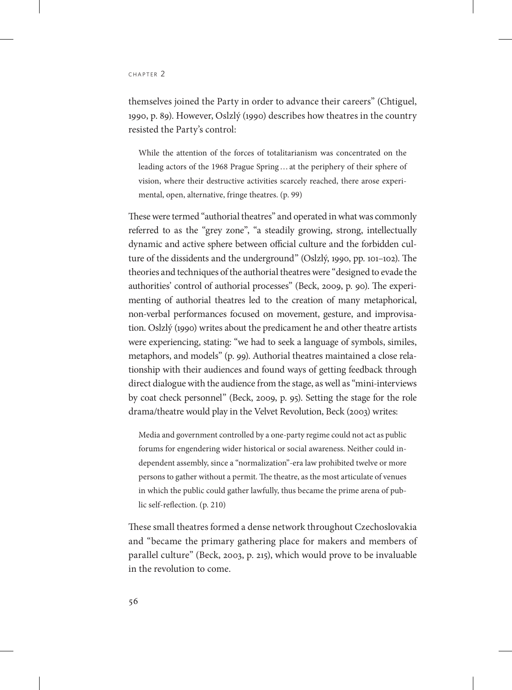themselves joined the Party in order to advance their careers" (Chtiguel, 1990, p. 89). However, Oslzlý (1990) describes how theatres in the country resisted the Party's control:

While the attention of the forces of totalitarianism was concentrated on the leading actors of the 1968 Prague Spring…at the periphery of their sphere of vision, where their destructive activities scarcely reached, there arose experimental, open, alternative, fringe theatres. (p. 99)

These were termed "authorial theatres" and operated in what was commonly referred to as the "grey zone", "a steadily growing, strong, intellectually dynamic and active sphere between official culture and the forbidden culture of the dissidents and the underground" (Oslzlý, 1990, pp. 101–102). The theories and techniques of the authorial theatres were "designed to evade the authorities' control of authorial processes" (Beck, 2009, p. 90). The experimenting of authorial theatres led to the creation of many metaphorical, non-verbal performances focused on movement, gesture, and improvisation. Oslzlý (1990) writes about the predicament he and other theatre artists were experiencing, stating: "we had to seek a language of symbols, similes, metaphors, and models" (p. 99). Authorial theatres maintained a close relationship with their audiences and found ways of getting feedback through direct dialogue with the audience from the stage, as well as "mini-interviews by coat check personnel" (Beck, 2009, p. 95). Setting the stage for the role drama/theatre would play in the Velvet Revolution, Beck (2003) writes:

Media and government controlled by a one-party regime could not act as public forums for engendering wider historical or social awareness. Neither could independent assembly, since a "normalization"-era law prohibited twelve or more persons to gather without a permit. The theatre, as the most articulate of venues in which the public could gather lawfully, thus became the prime arena of public self-reflection. (p. 210)

These small theatres formed a dense network throughout Czechoslovakia and "became the primary gathering place for makers and members of parallel culture" (Beck, 2003, p. 215), which would prove to be invaluable in the revolution to come.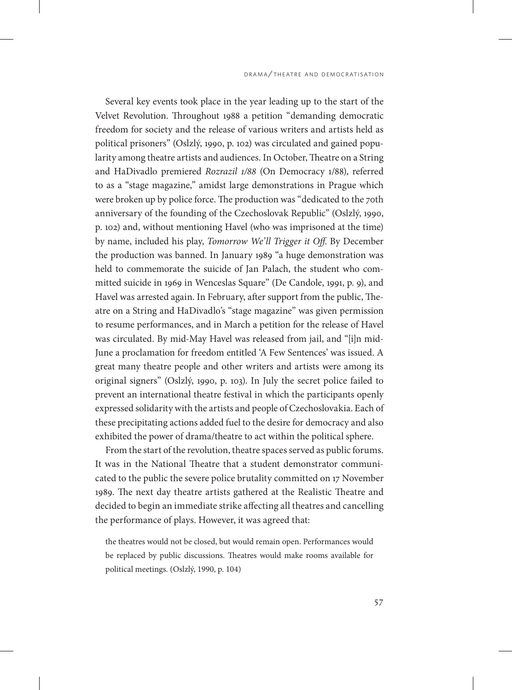Several key events took place in the year leading up to the start of the Velvet Revolution. Throughout 1988 a petition "demanding democratic freedom for society and the release of various writers and artists held as political prisoners" (Oslzlý, 1990, p. 102) was circulated and gained popularity among theatre artists and audiences. In October, Theatre on a String and HaDivadlo premiered *Rozrazil 1/88* (On Democracy 1/88), referred to as a "stage magazine," amidst large demonstrations in Prague which were broken up by police force. The production was "dedicated to the 70th anniversary of the founding of the Czechoslovak Republic" (Oslzlý, 1990, p. 102) and, without mentioning Havel (who was imprisoned at the time) by name, included his play, *Tomorrow We'll Trigger it Off*. By December the production was banned. In January 1989 "a huge demonstration was held to commemorate the suicide of Jan Palach, the student who committed suicide in 1969 in Wenceslas Square" (De Candole, 1991, p. 9), and Havel was arrested again. In February, after support from the public, Theatre on a String and HaDivadlo's "stage magazine" was given permission to resume performances, and in March a petition for the release of Havel was circulated. By mid-May Havel was released from jail, and "[i]n mid-June a proclamation for freedom entitled 'A Few Sentences' was issued. A great many theatre people and other writers and artists were among its original signers" (Oslzlý, 1990, p. 103). In July the secret police failed to prevent an international theatre festival in which the participants openly expressed solidarity with the artists and people of Czechoslovakia. Each of these precipitating actions added fuel to the desire for democracy and also exhibited the power of drama/theatre to act within the political sphere.

From the start of the revolution, theatre spaces served as public forums. It was in the National Theatre that a student demonstrator communicated to the public the severe police brutality committed on 17 November 1989. The next day theatre artists gathered at the Realistic Theatre and decided to begin an immediate strike affecting all theatres and cancelling the performance of plays. However, it was agreed that:

the theatres would not be closed, but would remain open. Performances would be replaced by public discussions. Theatres would make rooms available for political meetings. (Oslzlý, 1990, p. 104)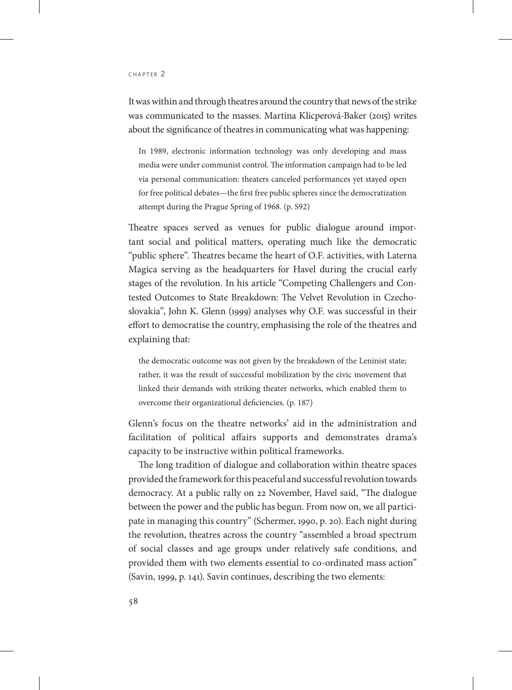It was within and through theatres around the country that news of the strike was communicated to the masses. Martina Klicperová-Baker (2015) writes about the significance of theatres in communicating what was happening:

In 1989, electronic information technology was only developing and mass media were under communist control. The information campaign had to be led via personal communication: theaters canceled performances yet stayed open for free political debates—the first free public spheres since the democratization attempt during the Prague Spring of 1968. (p. S92)

Theatre spaces served as venues for public dialogue around important social and political matters, operating much like the democratic "public sphere". Theatres became the heart of O.F. activities, with Laterna Magica serving as the headquarters for Havel during the crucial early stages of the revolution. In his article "Competing Challengers and Contested Outcomes to State Breakdown: The Velvet Revolution in Czechoslovakia", John K. Glenn (1999) analyses why O.F. was successful in their effort to democratise the country, emphasising the role of the theatres and explaining that:

the democratic outcome was not given by the breakdown of the Leninist state; rather, it was the result of successful mobilization by the civic movement that linked their demands with striking theater networks, which enabled them to overcome their organizational deficiencies. (p. 187)

Glenn's focus on the theatre networks' aid in the administration and facilitation of political affairs supports and demonstrates drama's capacity to be instructive within political frameworks.

The long tradition of dialogue and collaboration within theatre spaces provided the framework for this peaceful and successful revolution towards democracy. At a public rally on 22 November, Havel said, "The dialogue between the power and the public has begun. From now on, we all participate in managing this country" (Schermer, 1990, p. 20). Each night during the revolution, theatres across the country "assembled a broad spectrum of social classes and age groups under relatively safe conditions, and provided them with two elements essential to co-ordinated mass action" (Savin, 1999, p. 141). Savin continues, describing the two elements: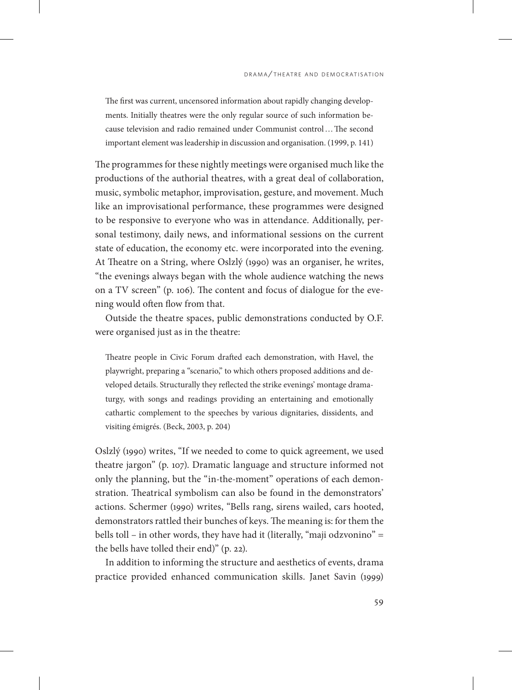The first was current, uncensored information about rapidly changing developments. Initially theatres were the only regular source of such information because television and radio remained under Communist control…The second important element was leadership in discussion and organisation. (1999, p. 141)

The programmes for these nightly meetings were organised much like the productions of the authorial theatres, with a great deal of collaboration, music, symbolic metaphor, improvisation, gesture, and movement. Much like an improvisational performance, these programmes were designed to be responsive to everyone who was in attendance. Additionally, personal testimony, daily news, and informational sessions on the current state of education, the economy etc. were incorporated into the evening. At Theatre on a String, where Oslzlý (1990) was an organiser, he writes, "the evenings always began with the whole audience watching the news on a TV screen" (p. 106). The content and focus of dialogue for the evening would often flow from that.

Outside the theatre spaces, public demonstrations conducted by O.F. were organised just as in the theatre:

Theatre people in Civic Forum drafted each demonstration, with Havel, the playwright, preparing a "scenario," to which others proposed additions and developed details. Structurally they reflected the strike evenings' montage dramaturgy, with songs and readings providing an entertaining and emotionally cathartic complement to the speeches by various dignitaries, dissidents, and visiting émigrés. (Beck, 2003, p. 204)

Oslzlý (1990) writes, "If we needed to come to quick agreement, we used theatre jargon" (p. 107). Dramatic language and structure informed not only the planning, but the "in-the-moment" operations of each demonstration. Theatrical symbolism can also be found in the demonstrators' actions. Schermer (1990) writes, "Bells rang, sirens wailed, cars hooted, demonstrators rattled their bunches of keys. The meaning is: for them the bells toll – in other words, they have had it (literally, "maji odzvonino" = the bells have tolled their end)" (p. 22).

In addition to informing the structure and aesthetics of events, drama practice provided enhanced communication skills. Janet Savin (1999)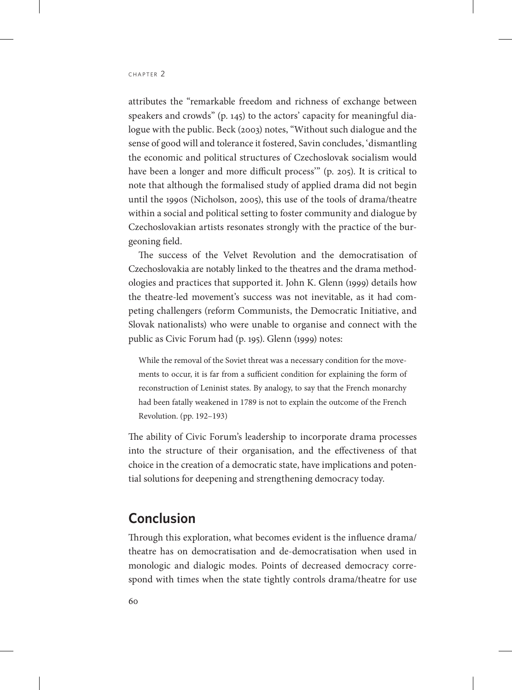attributes the "remarkable freedom and richness of exchange between speakers and crowds" (p. 145) to the actors' capacity for meaningful dialogue with the public. Beck (2003) notes, "Without such dialogue and the sense of good will and tolerance it fostered, Savin concludes, 'dismantling the economic and political structures of Czechoslovak socialism would have been a longer and more difficult process<sup>"</sup> (p. 205). It is critical to note that although the formalised study of applied drama did not begin until the 1990s (Nicholson, 2005), this use of the tools of drama/theatre within a social and political setting to foster community and dialogue by Czechoslovakian artists resonates strongly with the practice of the burgeoning field.

The success of the Velvet Revolution and the democratisation of Czechoslovakia are notably linked to the theatres and the drama methodologies and practices that supported it. John K. Glenn (1999) details how the theatre-led movement's success was not inevitable, as it had competing challengers (reform Communists, the Democratic Initiative, and Slovak nationalists) who were unable to organise and connect with the public as Civic Forum had (p. 195). Glenn (1999) notes:

While the removal of the Soviet threat was a necessary condition for the movements to occur, it is far from a sufficient condition for explaining the form of reconstruction of Leninist states. By analogy, to say that the French monarchy had been fatally weakened in 1789 is not to explain the outcome of the French Revolution. (pp. 192–193)

The ability of Civic Forum's leadership to incorporate drama processes into the structure of their organisation, and the effectiveness of that choice in the creation of a democratic state, have implications and potential solutions for deepening and strengthening democracy today.

### **Conclusion**

Through this exploration, what becomes evident is the influence drama/ theatre has on democratisation and de-democratisation when used in monologic and dialogic modes. Points of decreased democracy correspond with times when the state tightly controls drama/theatre for use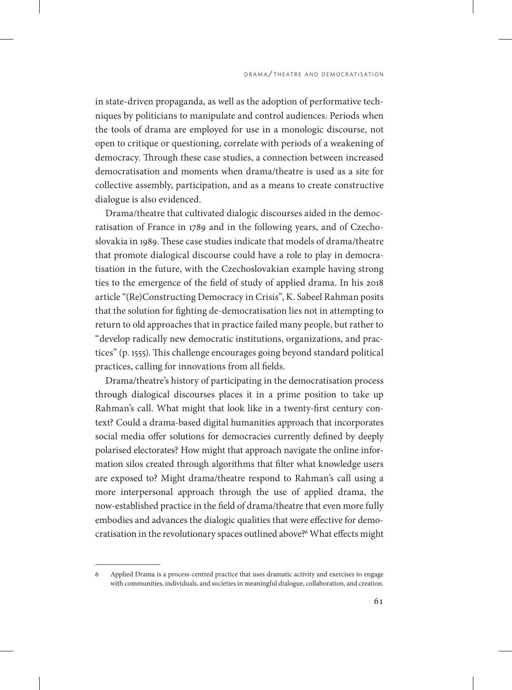in state-driven propaganda, as well as the adoption of performative techniques by politicians to manipulate and control audiences. Periods when the tools of drama are employed for use in a monologic discourse, not open to critique or questioning, correlate with periods of a weakening of democracy. Through these case studies, a connection between increased democratisation and moments when drama/theatre is used as a site for collective assembly, participation, and as a means to create constructive dialogue is also evidenced.

Drama/theatre that cultivated dialogic discourses aided in the democratisation of France in 1789 and in the following years, and of Czechoslovakia in 1989. These case studies indicate that models of drama/theatre that promote dialogical discourse could have a role to play in democratisation in the future, with the Czechoslovakian example having strong ties to the emergence of the field of study of applied drama. In his 2018 article "(Re)Constructing Democracy in Crisis", K. Sabeel Rahman posits that the solution for fighting de-democratisation lies not in attempting to return to old approaches that in practice failed many people, but rather to "develop radically new democratic institutions, organizations, and practices" (p. 1555). This challenge encourages going beyond standard political practices, calling for innovations from all fields.

Drama/theatre's history of participating in the democratisation process through dialogical discourses places it in a prime position to take up Rahman's call. What might that look like in a twenty-first century context? Could a drama-based digital humanities approach that incorporates social media offer solutions for democracies currently defined by deeply polarised electorates? How might that approach navigate the online information silos created through algorithms that filter what knowledge users are exposed to? Might drama/theatre respond to Rahman's call using a more interpersonal approach through the use of applied drama, the now-established practice in the field of drama/theatre that even more fully embodies and advances the dialogic qualities that were effective for democratisation in the revolutionary spaces outlined above?6 What effects might

<sup>6</sup> Applied Drama is a process-centred practice that uses dramatic activity and exercises to engage with communities, individuals, and societies in meaningful dialogue, collaboration, and creation.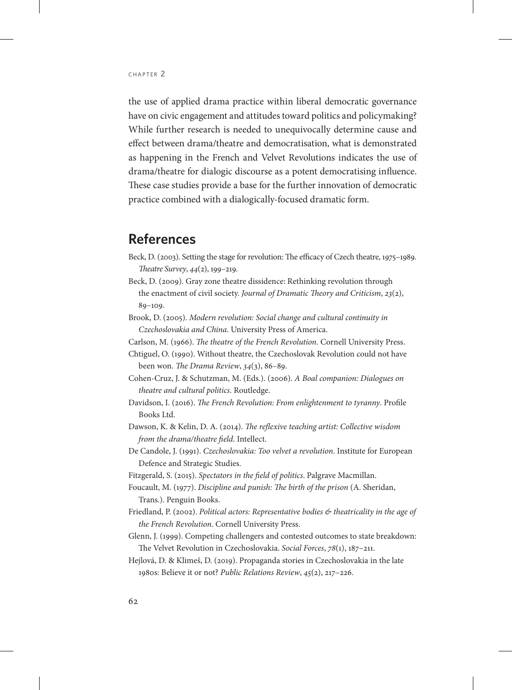the use of applied drama practice within liberal democratic governance have on civic engagement and attitudes toward politics and policymaking? While further research is needed to unequivocally determine cause and effect between drama/theatre and democratisation, what is demonstrated as happening in the French and Velvet Revolutions indicates the use of drama/theatre for dialogic discourse as a potent democratising influence. These case studies provide a base for the further innovation of democratic practice combined with a dialogically-focused dramatic form.

## **References**

- Beck, D. (2003). Setting the stage for revolution: The efficacy of Czech theatre, 1975–1989. *Theatre Survey*, *44*(2), 199–219.
- Beck, D. (2009). Gray zone theatre dissidence: Rethinking revolution through the enactment of civil society. *Journal of Dramatic Theory and Criticism*, *23*(2), 89–109.
- Brook, D. (2005). *Modern revolution: Social change and cultural continuity in Czechoslovakia and China*. University Press of America.
- Carlson, M. (1966). *The theatre of the French Revolution*. Cornell University Press.
- Chtiguel, O. (1990). Without theatre, the Czechoslovak Revolution could not have been won. *The Drama Review*, *34*(3), 86–89.
- Cohen-Cruz, J. & Schutzman, M. (Eds.). (2006). *A Boal companion: Dialogues on theatre and cultural politics*. Routledge.
- Davidson, I. (2016). *The French Revolution: From enlightenment to tyranny*. Profile Books Ltd.
- Dawson, K. & Kelin, D. A. (2014). *The reflexive teaching artist: Collective wisdom from the drama/theatre field*. Intellect.
- De Candole, J. (1991). *Czechoslovakia: Too velvet a revolution*. Institute for European Defence and Strategic Studies.
- Fitzgerald, S. (2015). *Spectators in the field of politics*. Palgrave Macmillan.
- Foucault, M. (1977). *Discipline and punish: The birth of the prison* (A. Sheridan, Trans.). Penguin Books.
- Friedland, P. (2002). *Political actors: Representative bodies & theatricality in the age of the French Revolution*. Cornell University Press.
- Glenn, J. (1999). Competing challengers and contested outcomes to state breakdown: The Velvet Revolution in Czechoslovakia. *Social Forces*, *78*(1), 187–211.
- Hejlová, D. & Klimeš, D. (2019). Propaganda stories in Czechoslovakia in the late 1980s: Believe it or not? *Public Relations Review*, *45*(2), 217–226.